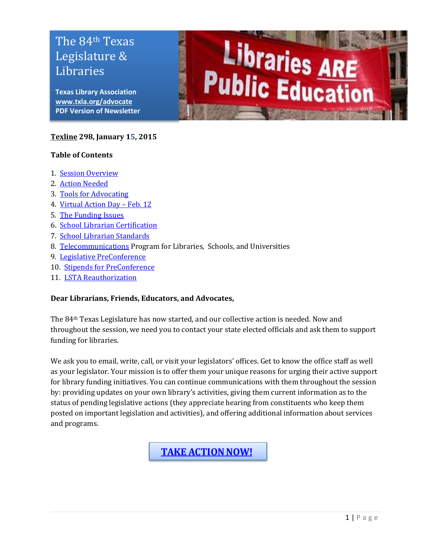# Legislature & Libraries The 84th Texas

**Texas Library Association PDF Version of Newsletter [www.txla.org/advocate](http://www.txla.org/advocate)**

#### **[Texline](http://www.txla.org/texline-updates) 298, January 15, 2015**

#### **Table of Contents**

- 1. [Session Overview](#page-0-0)
- 2. [Action Needed](#page-1-0)
- 3. [Tools for Advocating](#page-2-0)
- 4. [Virtual Action Day](#page-1-1)  Feb. 12
- 5. [The Funding Issues](#page-2-0)
- 6. [School Librarian](#page-3-0) Certification
- <span id="page-0-1"></span>7. [School Librarian Standards](#page-0-1)
- 8. [Telecommunications](#page-4-0) Program for Libraries, Schools, and Universities
- 9. [Legislative PreConference](#page-4-1)
- 10. [Stipends for PreConference](#page-3-1)
- 11. [LSTA Reauthorization](#page-4-2)

#### **Dear Librarians, Friends, Educators, and Advocates,**

The 84th Texas Legislature has now started, and our collective action is needed. Now and throughout the session, we need you to contact your state elected officials and ask them to support funding for libraries.

Libraries ARE<br>Public Education

We ask you to email, write, call, or visit your legislators' offices. Get to know the office staff as well as your legislator. Your mission is to offer them your unique reasons for urging their active support for library funding initiatives. You can continue communications with them throughout the session by: providing updates on your own library's activities, giving them current information as to the status of pending legislative actions (they appreciate hearing from constituents who keep them posted on important legislation and activities), and offering additional information about services and programs.

<span id="page-0-0"></span>**[TAKE ACTION NOW!](http://cqrcengage.com/alatx/app/write-a-letter?2&engagementId=73164)**

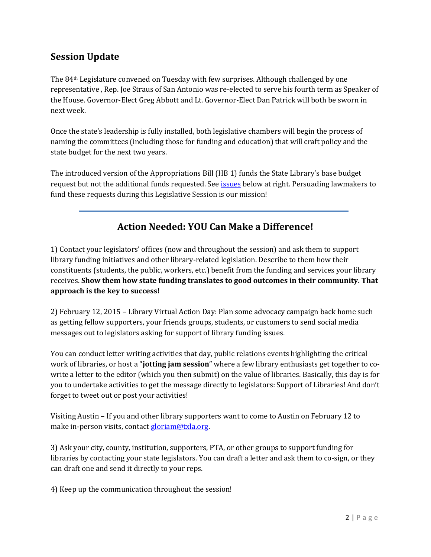# **Session Update**

The 84th Legislature convened on Tuesday with few surprises. Although challenged by one representative , Rep. Joe Straus of San Antonio was re-elected to serve his fourth term as Speaker of the House. Governor-Elect Greg Abbott and Lt. Governor-Elect Dan Patrick will both be sworn in next week.

Once the state's leadership is fully installed, both legislative chambers will begin the process of naming the committees (including those for funding and education) that will craft policy and the state budget for the next two years.

The introduced version of the Appropriations Bill (HB 1) funds the State Library's base budget request but not the additional funds requested. Se[e issues](#page-2-0) below at right. Persuading lawmakers to fund these requests during this Legislative Session is our mission!

# **Action Needed: YOU Can Make a Difference!**

<span id="page-1-0"></span>1) Contact your legislators' offices (now and throughout the session) and ask them to support library funding initiatives and other library-related legislation. Describe to them how their constituents (students, the public, workers, etc.) benefit from the funding and services your library receives. **Show them how state funding translates to good outcomes in their community. That approach is the key to success!**

<span id="page-1-1"></span>2) February 12, 2015 – Library Virtual Action Day: Plan some advocacy campaign back home such as getting fellow supporters, your friends groups, students, or customers to send social media messages out to legislators asking for support of library funding issues.

You can conduct letter writing activities that day, public relations events highlighting the critical work of libraries, or host a "**jotting jam session**" where a few library enthusiasts get together to cowrite a letter to the editor (which you then submit) on the value of libraries. Basically, this day is for you to undertake activities to get the message directly to legislators: Support of Libraries! And don't forget to tweet out or post your activities!

Visiting Austin – If you and other library supporters want to come to Austin on February 12 to make in-person visits, contac[t gloriam@txla.org.](mailto:gloriam@txla.org)

3) Ask your city, county, institution, supporters, PTA, or other groups to support funding for libraries by contacting your state legislators. You can draft a letter and ask them to co-sign, or they can draft one and send it directly to your reps.

4) Keep up the communication throughout the session!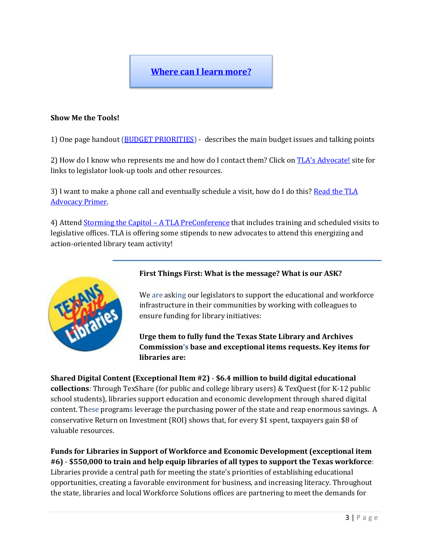## **[Where can I learn more?](http://www.txla.org/take-action)**

#### <span id="page-2-0"></span>**Show Me the Tools!**

1) One page handout [\(BUDGET PRIORITIES\)](http://www.txla.org/sites/tla/files/Advocate/84th_Library_Budget_Issues.pdf) - describes the main budget issues and talking points

2) How do I know who represents me and how do I contact them? Click on [TLA's Advocate!](http://www.txla.org/take-action) site for links to legislator look-up tools and other resources.

3) I want to make a phone call and eventually schedule a visit, how do I do this? Read the TLA [Advocacy Primer.](http://www.txla.org/advocacy-how-to) 

4) Attend [Storming the Capitol](#page-4-1) – A TLA PreConference that includes training and scheduled visits to legislative offices. TLA is offering some stipends to new advocates to attend this energizing and action-oriented library team activity!



#### **First Things First: What is the message? What is our ASK?**

We are asking our legislators to support the educational and workforce infrastructure in their communities by working with colleagues to ensure funding for library initiatives:

**Urge them to fully fund the Texas State Library and Archives Commission's base and exceptional items requests. Key items for libraries are:**

**Shared Digital Content (Exceptional Item #2) - \$6.4 million to build digital educational collections**: Through TexShare (for public and college library users) & TexQuest (for K-12 public school students), libraries support education and economic development through shared digital content. These programs leverage the purchasing power of the state and reap enormous savings. A conservative Return on Investment (ROI) shows that, for every \$1 spent, taxpayers gain \$8 of valuable resources.

**Funds for Libraries in Support of Workforce and Economic Development (exceptional item #6) - \$550,000 to train and help equip libraries of all types to support the Texas workforce**: Libraries provide a central path for meeting the state's priorities of establishing educational opportunities, creating a favorable environment for business, and increasing literacy. Throughout the state, libraries and local Workforce Solutions offices are partnering to meet the demands for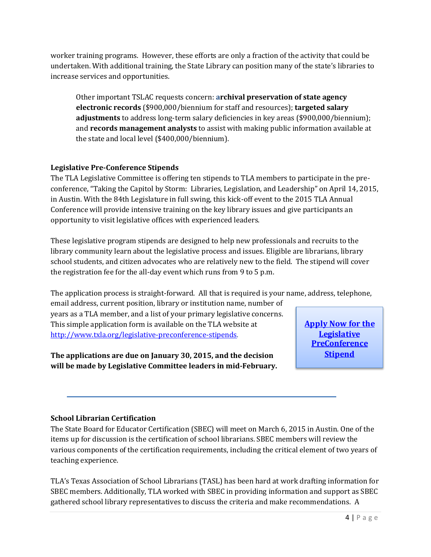worker training programs. However, these efforts are only a fraction of the activity that could be undertaken. With additional training, the State Library can position many of the state's libraries to increase services and opportunities.

Other important TSLAC requests concern: **archival preservation of state agency electronic records** (\$900,000/biennium for staff and resources); **targeted salary adjustments** to address long-term salary deficiencies in key areas (\$900,000/biennium); and **records management analysts** to assist with making public information available at the state and local level (\$400,000/biennium).

## <span id="page-3-1"></span>**Legislative Pre-Conference Stipends**

The TLA Legislative Committee is offering ten stipends to TLA members to participate in the preconference, "Taking the Capitol by Storm: Libraries, Legislation, and Leadership" on April 14, 2015, in Austin. With the 84th Legislature in full swing, this kick-off event to the 2015 TLA Annual Conference will provide intensive training on the key library issues and give participants an opportunity to visit legislative offices with experienced leaders.

These legislative program stipends are designed to help new professionals and recruits to the library community learn about the legislative process and issues. Eligible are librarians, library school students, and citizen advocates who are relatively new to the field. The stipend will cover the registration fee for the all-day event which runs from 9 to 5 p.m.

The application process is straight-forward. All that is required is your name, address, telephone,

email address, current position, library or institution name, number of years as a TLA member, and a list of your primary legislative concerns. This simple application form is available on the TLA website at [http://www.txla.org/legislative-preconference-stipends.](http://www.txla.org/legislative-preconference-stipends)

**The applications are due on January 30, 2015, and the decision will be made by Legislative Committee leaders in mid-February.**

**Legislative PreConference Stipend**

## <span id="page-3-0"></span>**School Librarian Certification**

**[Apply Now for the](http://www.txla.org/legislative-preconference-stipends) Legislative PreConference Stipend**<br> **Conference Stipend**<br> **Conference** Stipend<br> **Conference** Stipend<br>
Similar eview the lement of two years of rafting information for n and support as SBEC mmendations. A The State Board for Educator Certification (SBEC) will meet on March 6, 2015 in Austin. One of the items up for discussion is the certification of school librarians. SBEC members will review the various components of the certification requirements, including the critical element of two years of teaching experience.

TLA's Texas Association of School Librarians (TASL) has been hard at work drafting information for SBEC members. Additionally, TLA worked with SBEC in providing information and support as SBEC gathered school library representatives to discuss the criteria and make recommendations. A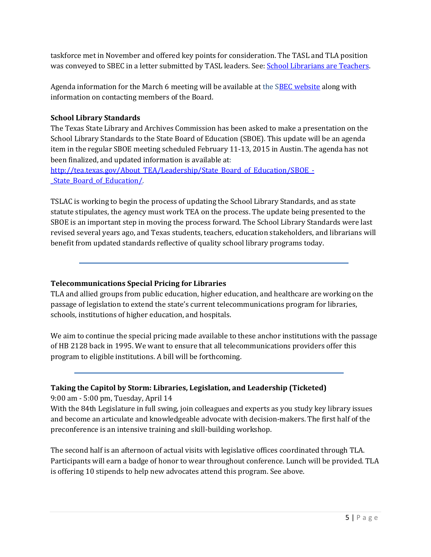<span id="page-4-0"></span>taskforce met in November and offered key points for consideration. The TASL and TLA position was conveyed to SBEC in a letter submitted by TASL leaders. See: [School Librarians are Teachers.](http://www.txla.org/sites/tla/files/Advocate/TASL%20SBECletter%201-8-15.pdf)

Agenda information for the March 6 meeting will be available at the [SBEC website](http://tea.texas.gov/About_TEA/Leadership/State_Board_for_Educator_Certification/SBEC_Meetings/State_Board_for_Educator_Certification_Meetings/) along with information on contacting members of the Board.

### **School Library Standards**

The Texas State Library and Archives Commission has been asked to make a presentation on the School Library Standards to the State Board of Education (SBOE). This update will be an agenda item in the regular SBOE meeting scheduled February 11-13, 2015 in Austin. The agenda has not been finalized, and updated information is available at:

[http://tea.texas.gov/About\\_TEA/Leadership/State\\_Board\\_of\\_Education/SBOE\\_-](http://tea.texas.gov/About_TEA/Leadership/State_Board_of_Education/SBOE_-_State_Board_of_Education/) [\\_State\\_Board\\_of\\_Education/.](http://tea.texas.gov/About_TEA/Leadership/State_Board_of_Education/SBOE_-_State_Board_of_Education/)

TSLAC is working to begin the process of updating the School Library Standards, and as state statute stipulates, the agency must work TEA on the process. The update being presented to the SBOE is an important step in moving the process forward. The School Library Standards were last revised several years ago, and Texas students, teachers, education stakeholders, and librarians will benefit from updated standards reflective of quality school library programs today.

#### **Telecommunications Special Pricing for Libraries**

TLA and allied groups from public education, higher education, and healthcare are working on the passage of legislation to extend the state's current telecommunications program for libraries, schools, institutions of higher education, and hospitals.

We aim to continue the special pricing made available to these anchor institutions with the passage of HB 2128 back in 1995. We want to ensure that all telecommunications providers offer this program to eligible institutions. A bill will be forthcoming.

## <span id="page-4-1"></span>**Taking the Capitol by Storm: Libraries, Legislation, and Leadership (Ticketed)**

9:00 am - 5:00 pm, Tuesday, April 14

With the 84th Legislature in full swing, join colleagues and experts as you study key library issues and become an articulate and knowledgeable advocate with decision-makers. The first half of the preconference is an intensive training and skill-building workshop.

<span id="page-4-2"></span>The second half is an afternoon of actual visits with legislative offices coordinated through TLA. Participants will earn a badge of honor to wear throughout conference. Lunch will be provided. TLA is offering 10 stipends to help new advocates attend this program. See above.